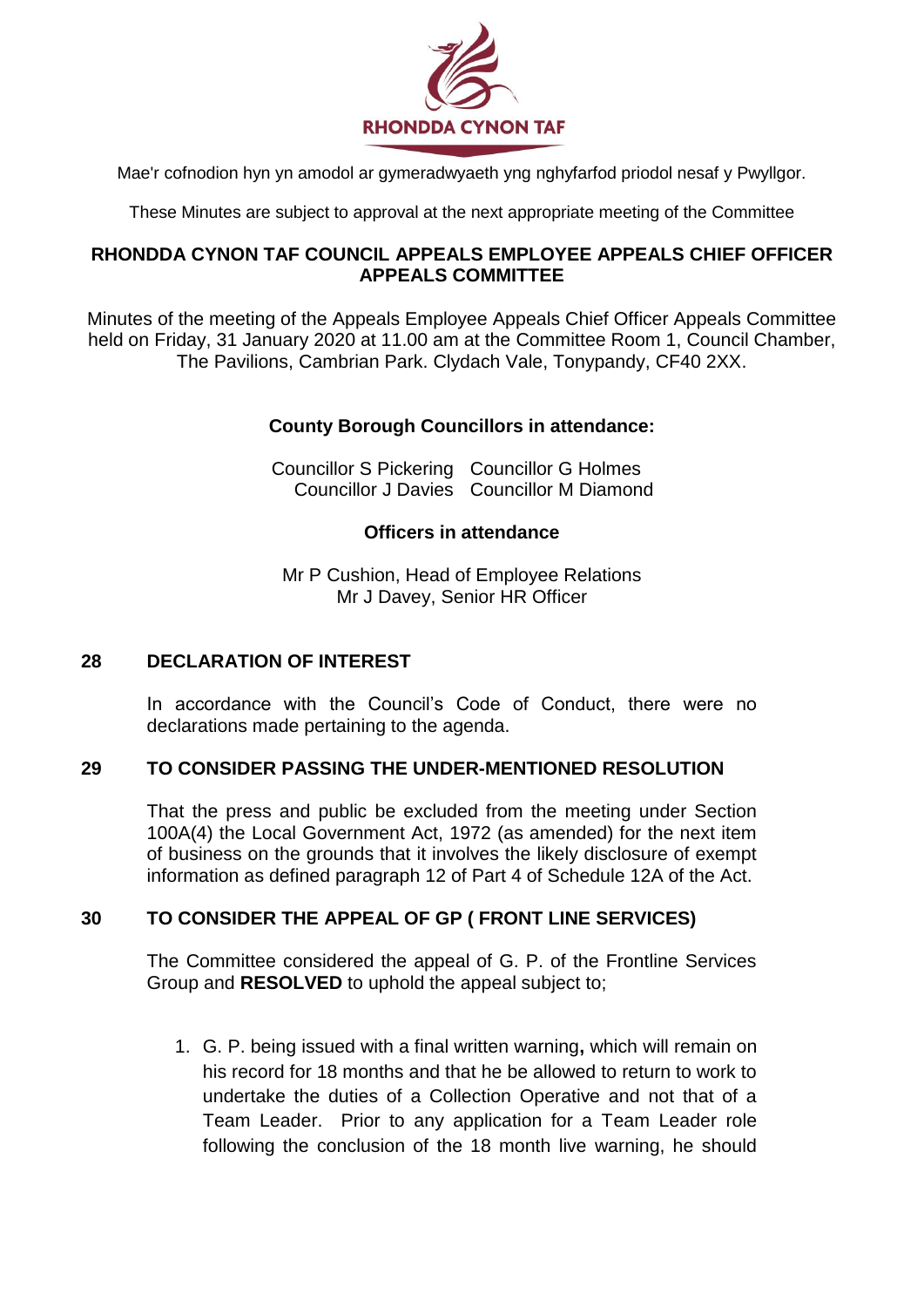

Mae'r cofnodion hyn yn amodol ar gymeradwyaeth yng nghyfarfod priodol nesaf y Pwyllgor.

These Minutes are subject to approval at the next appropriate meeting of the Committee

### **RHONDDA CYNON TAF COUNCIL APPEALS EMPLOYEE APPEALS CHIEF OFFICER APPEALS COMMITTEE**

Minutes of the meeting of the Appeals Employee Appeals Chief Officer Appeals Committee held on Friday, 31 January 2020 at 11.00 am at the Committee Room 1, Council Chamber, The Pavilions, Cambrian Park. Clydach Vale, Tonypandy, CF40 2XX.

# **County Borough Councillors in attendance:**

Councillor S Pickering Councillor G Holmes Councillor J Davies Councillor M Diamond

### **Officers in attendance**

Mr P Cushion, Head of Employee Relations Mr J Davey, Senior HR Officer

## **28 DECLARATION OF INTEREST**

In accordance with the Council's Code of Conduct, there were no declarations made pertaining to the agenda.

### **29 TO CONSIDER PASSING THE UNDER-MENTIONED RESOLUTION**

That the press and public be excluded from the meeting under Section 100A(4) the Local Government Act, 1972 (as amended) for the next item of business on the grounds that it involves the likely disclosure of exempt information as defined paragraph 12 of Part 4 of Schedule 12A of the Act.

# **30 TO CONSIDER THE APPEAL OF GP ( FRONT LINE SERVICES)**

The Committee considered the appeal of G. P. of the Frontline Services Group and **RESOLVED** to uphold the appeal subject to;

1. G. P. being issued with a final written warning**,** which will remain on his record for 18 months and that he be allowed to return to work to undertake the duties of a Collection Operative and not that of a Team Leader. Prior to any application for a Team Leader role following the conclusion of the 18 month live warning, he should